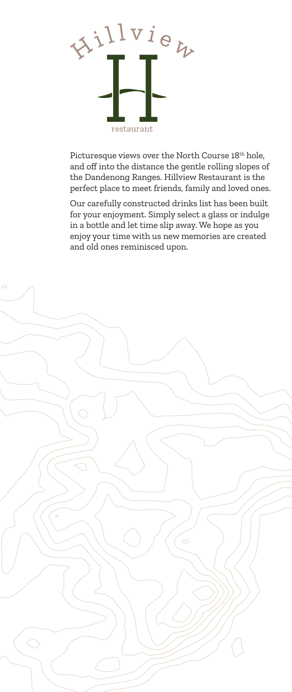

Picturesque views over the North Course 18<sup>th</sup> hole, and off into the distance the gentle rolling slopes of the Dandenong Ranges. Hillview Restaurant is the perfect place to meet friends, family and loved ones.

Our carefully constructed drinks list has been built for your enjoyment. Simply select a glass or indulge in a bottle and let time slip away. We hope as you enjoy your time with us new memories are created and old ones reminisced upon.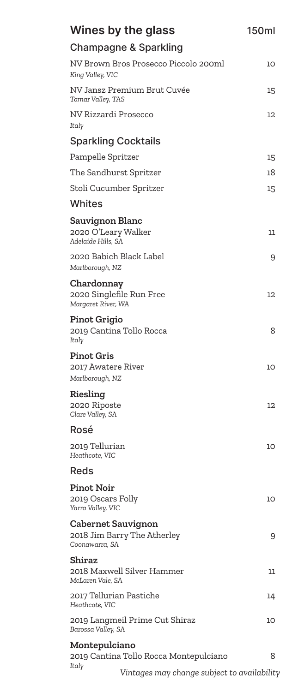| Wines by the glass                                                  | <b>150ml</b> |
|---------------------------------------------------------------------|--------------|
| Champagne & Sparkling                                               |              |
| NV Brown Bros Prosecco Piccolo 200ml<br>King Valley, VIC            | 10           |
| NV Jansz Premium Brut Cuvée<br>Tamar Valley, TAS                    | 15           |
| NV Rizzardi Prosecco<br>Italy                                       | 12           |
| <b>Sparkling Cocktails</b>                                          |              |
| Pampelle Spritzer                                                   | 15           |
| The Sandhurst Spritzer                                              | 18           |
| Stoli Cucumber Spritzer                                             | 15           |
| <b>Whites</b>                                                       |              |
| Sauvignon Blanc<br>2020 O'Leary Walker<br>Adelaide Hills, SA        | 11           |
| 2020 Babich Black Label<br>Marlborough, NZ                          | 9            |
| Chardonnay<br>2020 Singlefile Run Free<br>Margaret River, WA        | 12           |
| Pinot Grigio<br>2019 Cantina Tollo Rocca<br>Italy                   | 8            |
| <b>Pinot Gris</b><br>2017 Awatere River<br>Marlborough, NZ          | 10           |
| Riesling<br>2020 Riposte<br>Clare Valley, SA                        | 12           |
| Rosé                                                                |              |
| 2019 Tellurian<br>Heathcote, VIC                                    | 10           |
| Reds                                                                |              |
| <b>Pinot Noir</b><br>2019 Oscars Folly<br>Yarra Valley, VIC         | 10           |
| Cabernet Sauvignon<br>2018 Jim Barry The Atherley<br>Coonawarra, SA | 9            |
| Shiraz<br>2018 Maxwell Silver Hammer<br>McLaren Vale, SA            | 11           |
| 2017 Tellurian Pastiche<br>Heathcote, VIC                           | 14           |
| 2019 Langmeil Prime Cut Shiraz<br>Barossa Valley, SA                | 10           |
| Montepulciano                                                       |              |
| 2019 Cantina Tollo Rocca Montepulciano<br>Italy                     | 8            |
| Vintages may change subject to availability                         |              |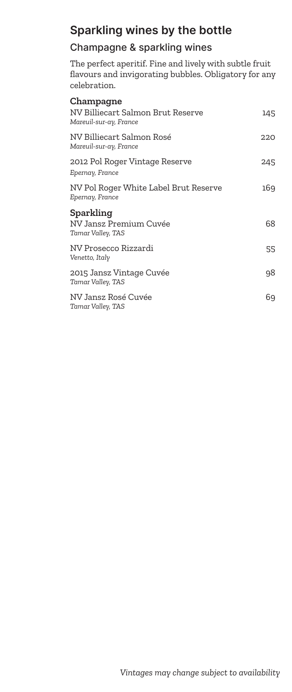## **Sparkling wines by the bottle**

## Champagne & sparkling wines

The perfect aperitif. Fine and lively with subtle fruit flavours and invigorating bubbles. Obligatory for any celebration.

| Champagne                                                   |     |
|-------------------------------------------------------------|-----|
| NV Billiecart Salmon Brut Reserve<br>Mareuil-sur-ay, France | 145 |
| NV Billiecart Salmon Rosé<br>Mareuil-sur-ay, France         | 220 |
| 2012 Pol Roger Vintage Reserve<br>Epernay, France           | 245 |
| NV Pol Roger White Label Brut Reserve<br>Epernay, France    | 169 |
| Sparkling<br>NV Jansz Premium Cuvée<br>Tamar Valley, TAS    | 68  |
| NV Prosecco Rizzardi<br>Venetto, Italy                      | 55  |
| 2015 Jansz Vintage Cuvée<br>Tamar Valley, TAS               | 98  |
| NV Jansz Rosé Cuvée<br>Tamar Valley, TAS                    | 69  |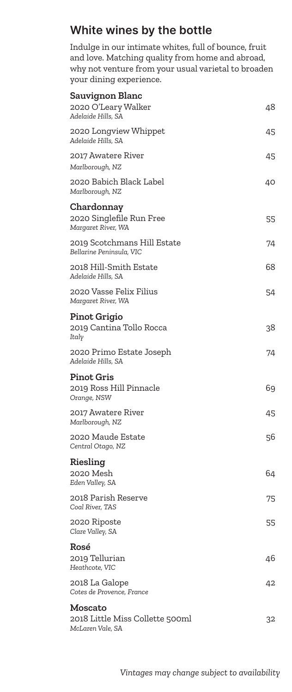# **White wines by the bottle**

Indulge in our intimate whites, full of bounce, fruit and love. Matching quality from home and abroad, why not venture from your usual varietal to broaden your dining experience.

| <b>Sauvignon Blanc</b><br>2020 O'Leary Walker<br>Adelaide Hills, SA | 48 |
|---------------------------------------------------------------------|----|
| 2020 Longview Whippet<br>Adelaide Hills, SA                         | 45 |
| 2017 Awatere River<br>Marlborough, NZ                               | 45 |
| 2020 Babich Black Label<br>Marlborough, NZ                          | 40 |
| Chardonnay<br>2020 Singlefile Run Free<br>Margaret River, WA        | 55 |
| 2019 Scotchmans Hill Estate<br>Bellarine Peninsula, VIC             | 74 |
| 2018 Hill-Smith Estate<br>Adelaide Hills, SA                        | 68 |
| 2020 Vasse Felix Filius<br>Margaret River, WA                       | 54 |
| Pinot Grigio<br>2019 Cantina Tollo Rocca<br>Italy                   | 38 |
| 2020 Primo Estate Joseph<br>Adelaide Hills, SA                      | 74 |
| <b>Pinot Gris</b><br>2019 Ross Hill Pinnacle<br>Orange, NSW         | 69 |
| 2017 Awatere River<br>Marlborough, NZ                               | 45 |
| 2020 Maude Estate<br>Central Otago, NZ                              | 56 |
| Riesling<br>2020 Mesh<br>Eden Valley, SA                            | 64 |
| 2018 Parish Reserve<br>Coal River, TAS                              | 75 |
| 2020 Riposte<br>Clare Valley, SA                                    | 55 |
| Rosé<br>2019 Tellurian<br>Heathcote, VIC                            | 46 |
| 2018 La Galope<br>Cotes de Provence, France                         | 42 |
| Moscato                                                             |    |
| 2018 Little Miss Collette 500ml<br>McLaren Vale, SA                 | 32 |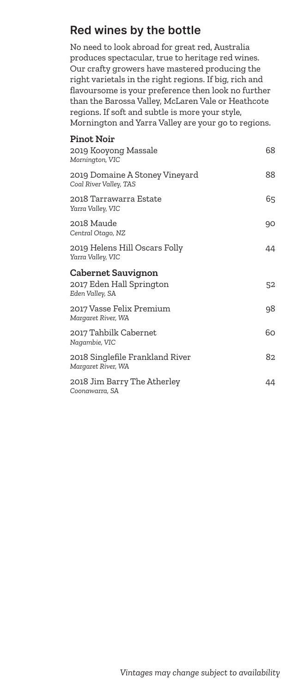# **Red wines by the bottle**

No need to look abroad for great red, Australia produces spectacular, true to heritage red wines. Our crafty growers have mastered producing the right varietals in the right regions. If big, rich and flavoursome is your preference then look no further than the Barossa Valley, McLaren Vale or Heathcote regions. If soft and subtle is more your style, Mornington and Yarra Valley are your go to regions.

| <b>Pinot Noir</b><br>2019 Kooyong Massale<br>Mornington, VIC             | 68 |
|--------------------------------------------------------------------------|----|
| 2019 Domaine A Stoney Vineyard<br>Coal River Valley, TAS                 | 88 |
| 2018 Tarrawarra Estate<br>Yarra Valley, VIC                              | 65 |
| 2018 Maude<br>Central Otago, NZ                                          | 90 |
| 2019 Helens Hill Oscars Folly<br>Yarra Valley, VIC                       | 44 |
| <b>Cabernet Sauvignon</b><br>2017 Eden Hall Springton<br>Eden Valley, SA | 52 |
| 2017 Vasse Felix Premium<br>Margaret River, WA                           | 98 |
| 2017 Tahbilk Cabernet<br>Nagambie, VIC                                   | 60 |
| 2018 Singlefile Frankland River<br>Margaret River, WA                    | 82 |
| 2018 Jim Barry The Atherley<br>Coonawarra, SA                            | 44 |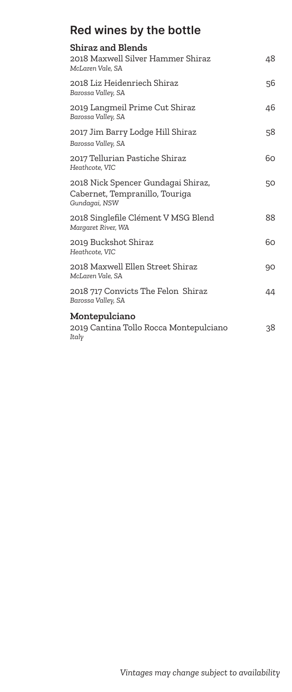# **Red wines by the bottle**

| <b>Shiraz and Blends</b>                                                              |    |
|---------------------------------------------------------------------------------------|----|
| 2018 Maxwell Silver Hammer Shiraz<br>McLaren Vale, SA                                 | 48 |
| 2018 Liz Heidenriech Shiraz<br>Barossa Valley, SA                                     | 56 |
| 2019 Langmeil Prime Cut Shiraz<br>Barossa Valley, SA                                  | 46 |
| 2017 Jim Barry Lodge Hill Shiraz<br>Barossa Valley, SA                                | 58 |
| 2017 Tellurian Pastiche Shiraz<br>Heathcote, VIC                                      | 60 |
| 2018 Nick Spencer Gundagai Shiraz,<br>Cabernet, Tempranillo, Touriga<br>Gundagai, NSW | 50 |
| 2018 Singlefile Clément V MSG Blend<br>Margaret River, WA                             | 88 |
| 2019 Buckshot Shiraz<br>Heathcote, VIC                                                | 60 |
| 2018 Maxwell Ellen Street Shiraz<br>McLaren Vale, SA                                  | 90 |
| 2018 717 Convicts The Felon Shiraz<br>Barossa Valley, SA                              | 44 |
| Montepulciano<br>2019 Cantina Tollo Rocca Montepulciano<br>Italy                      | 38 |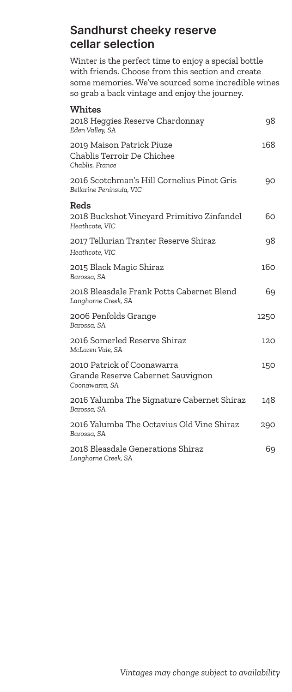## **Sandhurst cheeky reserve cellar selection**

Winter is the perfect time to enjoy a special bottle with friends. Choose from this section and create some memories. We've sourced some incredible wines so grab a back vintage and enjoy the journey.

| <b>Whites</b>                                                                     |      |
|-----------------------------------------------------------------------------------|------|
| 2018 Heggies Reserve Chardonnay<br>Eden Valley, SA                                | 98   |
| 2019 Maison Patrick Piuze<br>Chablis Terroir De Chichee<br>Chablis, France        | 168  |
| 2016 Scotchman's Hill Cornelius Pinot Gris<br>Bellarine Peninsula, VIC            | 90   |
| Reds                                                                              |      |
| 2018 Buckshot Vineyard Primitivo Zinfandel<br>Heathcote, VIC                      | 60   |
| 2017 Tellurian Tranter Reserve Shiraz<br>Heathcote, VIC                           | 98   |
| 2015 Black Magic Shiraz<br>Barossa, SA                                            | 160  |
| 2018 Bleasdale Frank Potts Cabernet Blend<br>Langhorne Creek, SA                  | 69   |
| 2006 Penfolds Grange<br>Barossa, SA                                               | 1250 |
| 2016 Somerled Reserve Shiraz<br>McLaren Vale, SA                                  | 120  |
| 2010 Patrick of Coonawarra<br>Grande Reserve Cabernet Sauvignon<br>Coonawarra, SA | 150  |
| 2016 Yalumba The Signature Cabernet Shiraz<br>Barossa, SA                         | 148  |
| 2016 Yalumba The Octavius Old Vine Shiraz<br>Barossa, SA                          | 290  |
| 2018 Bleasdale Generations Shiraz<br>Langhorne Creek, SA                          | 69   |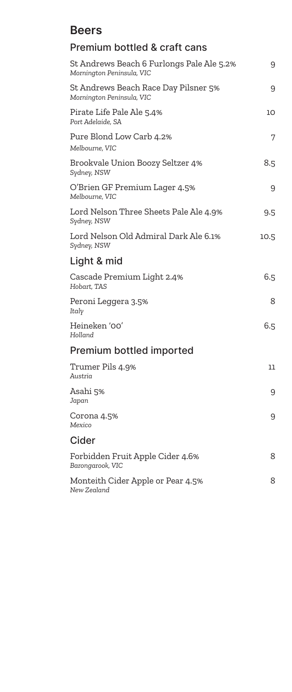## **Beers**

| <b>Premium bottled &amp; craft cans</b>                                |      |
|------------------------------------------------------------------------|------|
| St Andrews Beach 6 Furlongs Pale Ale 5.2%<br>Mornington Peninsula, VIC | 9    |
| St Andrews Beach Race Day Pilsner 5%<br>Mornington Peninsula, VIC      | 9    |
| Pirate Life Pale Ale 5.4%<br>Port Adelaide, SA                         | 10   |
| Pure Blond Low Carb 4.2%<br>Melbourne, VIC                             | 7    |
| Brookvale Union Boozy Seltzer 4%<br>Sydney, NSW                        | 8.5  |
| O'Brien GF Premium Lager 4.5%<br>Melbourne, VIC                        | 9    |
| Lord Nelson Three Sheets Pale Ale 4.9%<br>Sydney, NSW                  | 9.5  |
| Lord Nelson Old Admiral Dark Ale 6.1%<br>Sydney, NSW                   | 10.5 |
| Light & mid                                                            |      |
| Cascade Premium Light 2.4%<br>Hobart, TAS                              | 6.5  |
| Peroni Leggera 3.5%<br>Italy                                           | 8    |
| Heineken '00'<br>Holland                                               | 6.5  |
| Premium bottled imported                                               |      |
| Trumer Pils 4.9%<br>Austria                                            | 11   |
| Asahi 5%<br>Japan                                                      | 9    |
| Corona 4.5%<br>Mexico                                                  | 9    |
| Cider                                                                  |      |
| Forbidden Fruit Apple Cider 4.6%<br>Barongarook, VIC                   | 8    |
| Monteith Cider Apple or Pear 4.5%<br>New Zealand                       | 8    |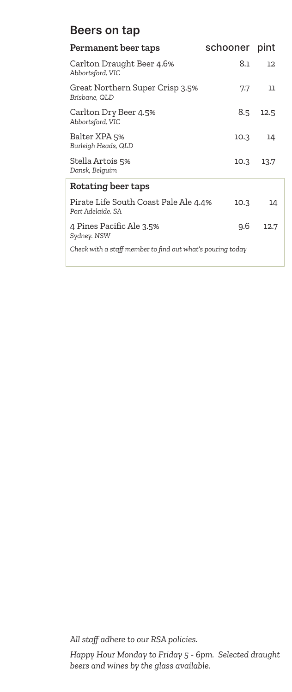## **Beers on tap**

| Permanent beer taps                                        | schooner pint |      |
|------------------------------------------------------------|---------------|------|
| Carlton Draught Beer 4.6%<br>Abbortsford, VIC              | 8.1           | 12   |
| Great Northern Super Crisp 3.5%<br>Brisbane, QLD           | 7.7           | 11   |
| Carlton Dry Beer 4.5%<br>Abbortsford, VIC                  | 8.5           | 12.5 |
| Balter XPA 5%<br>Burleigh Heads, QLD                       | 10.3          | 14   |
| Stella Artois 5%<br>Dansk, Belguim                         | 10.3          | 13.7 |
| Rotating beer taps                                         |               |      |
| Pirate Life South Coast Pale Ale 4.4%<br>Port Adelaide, SA | 10.3          | 14   |
| 4 Pines Pacific Ale 3.5%<br>Sydney. NSW                    | 9.6           | 12.7 |
| Check with a staff member to find out what's pouring today |               |      |

*All staff adhere to our RSA policies.*

*Happy Hour Monday to Friday 5 - 6pm. Selected draught beers and wines by the glass available.*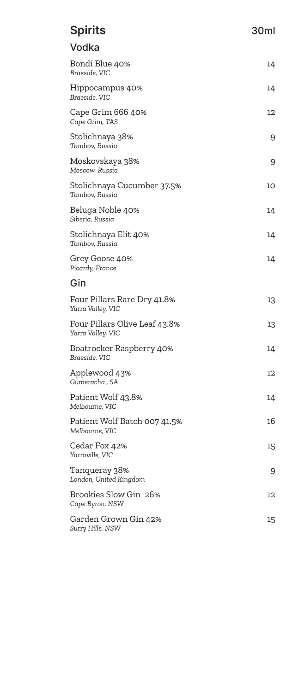| <b>Spirits</b>                                     | 30ml |
|----------------------------------------------------|------|
| Vodka                                              |      |
| Bondi Blue 40%<br>Braeside, VIC                    | 14   |
| Hippocampus 40%<br>Braeside, VIC                   | 14   |
| Cape Grim 666 40%<br>Cape Grim, TAS                | 12   |
| Stolichnaya 38%<br>Tambov, Russia                  | 9    |
| Moskovskaya 38%<br>Moscow, Russia                  | 9    |
| Stolichnaya Cucumber 37.5%<br>Tambov, Russia       | 10   |
| Beluga Noble 40%<br>Siberia, Russia                | 14   |
| Stolichnaya Elit 40%<br>Tambov, Russia             | 14   |
| Grey Goose 40%<br>Picardy, France                  | 14   |
| Gin                                                |      |
| Four Pillars Rare Dry 41.8%<br>Yarra Valley, VIC   | 13   |
| Four Pillars Olive Leaf 43.8%<br>Yarra Valley, VIC | 13   |
| Boatrocker Raspberry 40%<br>Braeside, VIC          | 14   |
| Applewood 43%<br>Gumeracha, SA                     | 12   |
| Patient Wolf 43.8%<br>Melbourne, VIC               | 14   |
| Patient Wolf Batch 007 41.5%<br>Melbourne, VIC     | 16   |
| Cedar Fox 42%<br>Yarraville, VIC                   | 15   |
| Tanqueray 38%<br>London, United Kingdom            | 9    |
| Brookies Slow Gin 26%<br>Cape Byron, NSW           | 12   |
| Garden Grown Gin 42%<br>Surry Hills, NSW           | 15   |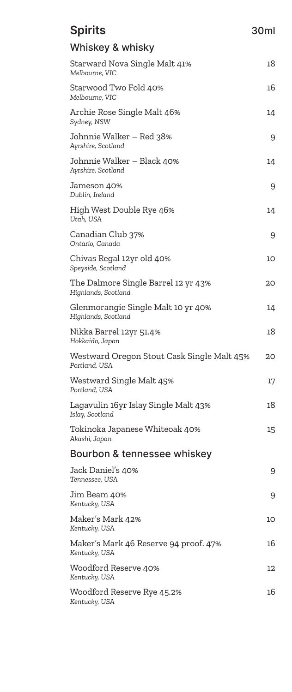| <b>Spirits</b>                                              | 30ml |
|-------------------------------------------------------------|------|
| Whiskey & whisky                                            |      |
| Starward Nova Single Malt 41%<br>Melbourne, VIC             | 18   |
| Starwood Two Fold 40%<br>Melbourne, VIC                     | 16   |
| Archie Rose Single Malt 46%<br>Sydney, NSW                  | 14   |
| Johnnie Walker – Red 38%<br>Ayrshire, Scotland              | 9    |
| Johnnie Walker – Black 40%<br>Ayrshire, Scotland            | 14   |
| Jameson 40%<br>Dublin, Ireland                              | 9    |
| High West Double Rye 46%<br>Utah, USA                       | 14   |
| Canadian Club 37%<br>Ontario, Canada                        | 9    |
| Chivas Regal 12yr old 40%<br>Speyside, Scotland             | 10   |
| The Dalmore Single Barrel 12 yr 43%<br>Highlands, Scotland  | 20   |
| Glenmorangie Single Malt 10 yr 40%<br>Highlands, Scotland   | 14   |
| Nikka Barrel 12yr 51.4%<br>Hokkaido, Japan                  | 18   |
| Westward Oregon Stout Cask Single Malt 45%<br>Portland, USA | 20   |
| Westward Single Malt 45%<br>Portland, USA                   | 17   |
| Lagavulin 16yr Islay Single Malt 43%<br>Islay, Scotland     | 18   |
| Tokinoka Japanese Whiteoak 40%<br>Akashi, Japan             | 15   |
| Bourbon & tennessee whiskey                                 |      |
| Jack Daniel's 40%<br>Tennessee, USA                         | 9    |
| Jim Beam 40%<br>Kentucky, USA                               | 9    |
| Maker's Mark 42%<br>Kentucky, USA                           | 10   |
| Maker's Mark 46 Reserve 94 proof. 47%<br>Kentucky, USA      | 16   |
| Woodford Reserve 40%<br>Kentucky, USA                       | 12   |
| Woodford Reserve Rye 45.2%<br>Kentucky, USA                 | 16   |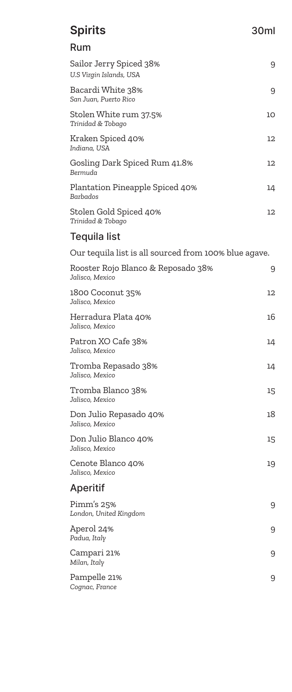| <b>Spirits</b>                                        | 30ml |
|-------------------------------------------------------|------|
| Rum                                                   |      |
| Sailor Jerry Spiced 38%<br>U.S Virgin Islands, USA    | 9    |
| Bacardi White 38%<br>San Juan, Puerto Rico            | 9    |
| Stolen White rum 37.5%<br>Trinidad & Tobago           | 10   |
| Kraken Spiced 40%<br>Indiana, USA                     | 12   |
| Gosling Dark Spiced Rum 41.8%<br>Bermuda              | 12   |
| Plantation Pineapple Spiced 40%<br>Barbados           | 14   |
| Stolen Gold Spiced 40%<br>Trinidad & Tobago           | 12   |
| <b>Tequila list</b>                                   |      |
| Our tequila list is all sourced from 100% blue agave. |      |
| Rooster Rojo Blanco & Reposado 38%<br>Jalisco, Mexico | 9    |
| 1800 Coconut 35%<br>Jalisco, Mexico                   | 12   |
| Herradura Plata 40%<br>Jalisco, Mexico                | 16   |
| Patron XO Cafe 38%<br>Jalisco, Mexico                 | 14   |
| Tromba Repasado 38%<br>Jalisco, Mexico                | 14   |
| Tromba Blanco 38%<br>Jalisco, Mexico                  | 15   |
| Don Julio Repasado 40%<br>Jalisco, Mexico             | 18   |
| Don Julio Blanco 40%<br>Jalisco, Mexico               | 15   |
| Cenote Blanco 40%<br>Jalisco, Mexico                  | 19   |
| Aperitif                                              |      |
| Pimm's 25%<br>London, United Kingdom                  | 9    |
| Aperol 24%<br>Padua, Italy                            | 9    |
| Campari 21%<br>Milan, Italy                           | 9    |
| Pampelle 21%<br>Cognac, France                        | 9    |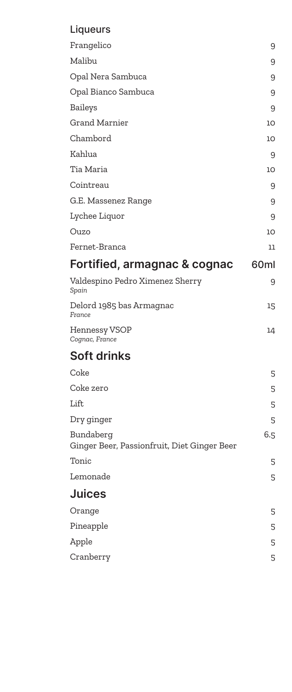# Liqueurs

| Frangelico                                               | 9    |
|----------------------------------------------------------|------|
| Malibu                                                   | 9    |
| Opal Nera Sambuca                                        | 9    |
| Opal Bianco Sambuca                                      | 9    |
| <b>Baileys</b>                                           | 9    |
| <b>Grand Marnier</b>                                     | 10   |
| Chambord                                                 | 10   |
| Kahlua                                                   | 9    |
| Tia Maria                                                | 10   |
| Cointreau                                                | 9    |
| G.E. Massenez Range                                      | 9    |
| Lychee Liquor                                            | 9    |
| Ouzo                                                     | 10   |
| Fernet-Branca                                            | 11   |
| Fortified, armagnac & cognac                             | 60ml |
| Valdespino Pedro Ximenez Sherry<br>Spain                 | 9    |
| Delord 1985 bas Armagnac<br>France                       | 15   |
| Hennessy VSOP<br>Cognac, France                          | 14   |
| <b>Soft drinks</b>                                       |      |
| Coke                                                     | 5    |
| Coke zero                                                | 5    |
| Lift                                                     | 5    |
| Dry ginger                                               | 5    |
| Bundaberg<br>Ginger Beer, Passionfruit, Diet Ginger Beer | 6.5  |
| Tonic                                                    | 5    |
| Lemonade                                                 | 5    |
| <b>Juices</b>                                            |      |
| Orange                                                   | 5    |
| Pineapple                                                | 5    |
| Apple                                                    | 5    |
| Cranberry                                                | 5    |